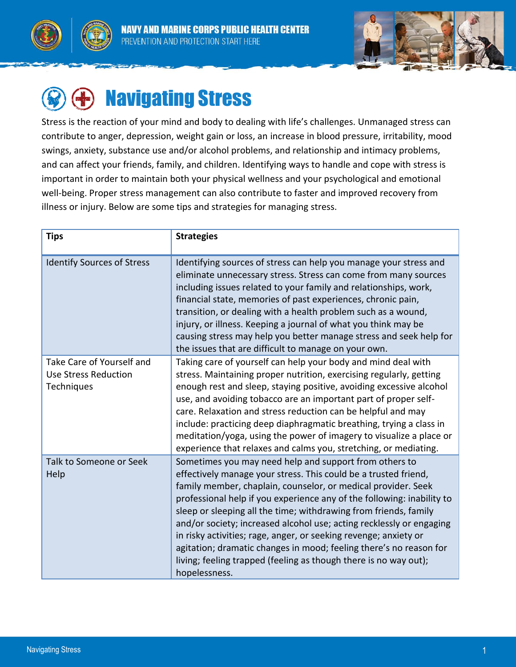





# Navigating Stress

Stress is the reaction of your mind and body to dealing with life's challenges. Unmanaged stress can contribute to anger, depression, weight gain or loss, an increase in blood pressure, irritability, mood swings, anxiety, substance use and/or alcohol problems, and relationship and intimacy problems, and can affect your friends, family, and children. Identifying ways to handle and cope with stress is important in order to maintain both your physical wellness and your psychological and emotional well-being. Proper stress management can also contribute to faster and improved recovery from illness or injury. Below are some tips and strategies for managing stress.

| <b>Tips</b>                                                            | <b>Strategies</b>                                                                                                                                                                                                                                                                                                                                                                                                                                                                                                                                                                                                                               |
|------------------------------------------------------------------------|-------------------------------------------------------------------------------------------------------------------------------------------------------------------------------------------------------------------------------------------------------------------------------------------------------------------------------------------------------------------------------------------------------------------------------------------------------------------------------------------------------------------------------------------------------------------------------------------------------------------------------------------------|
| <b>Identify Sources of Stress</b>                                      | Identifying sources of stress can help you manage your stress and<br>eliminate unnecessary stress. Stress can come from many sources<br>including issues related to your family and relationships, work,<br>financial state, memories of past experiences, chronic pain,<br>transition, or dealing with a health problem such as a wound,<br>injury, or illness. Keeping a journal of what you think may be<br>causing stress may help you better manage stress and seek help for<br>the issues that are difficult to manage on your own.                                                                                                       |
| Take Care of Yourself and<br><b>Use Stress Reduction</b><br>Techniques | Taking care of yourself can help your body and mind deal with<br>stress. Maintaining proper nutrition, exercising regularly, getting<br>enough rest and sleep, staying positive, avoiding excessive alcohol<br>use, and avoiding tobacco are an important part of proper self-<br>care. Relaxation and stress reduction can be helpful and may<br>include: practicing deep diaphragmatic breathing, trying a class in<br>meditation/yoga, using the power of imagery to visualize a place or<br>experience that relaxes and calms you, stretching, or mediating.                                                                                |
| Talk to Someone or Seek<br>Help                                        | Sometimes you may need help and support from others to<br>effectively manage your stress. This could be a trusted friend,<br>family member, chaplain, counselor, or medical provider. Seek<br>professional help if you experience any of the following: inability to<br>sleep or sleeping all the time; withdrawing from friends, family<br>and/or society; increased alcohol use; acting recklessly or engaging<br>in risky activities; rage, anger, or seeking revenge; anxiety or<br>agitation; dramatic changes in mood; feeling there's no reason for<br>living; feeling trapped (feeling as though there is no way out);<br>hopelessness. |